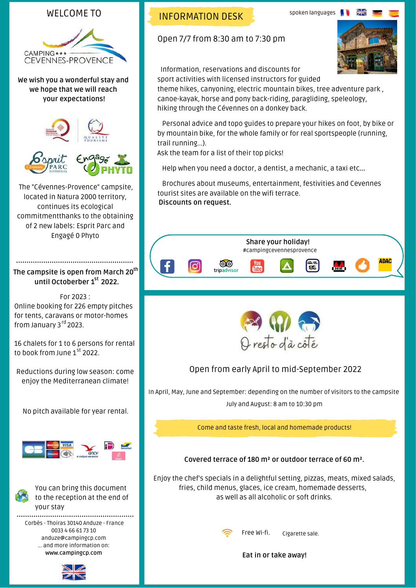#### WELCOME TO



**We wish you a wonderful stay and we hope that we will reach your expectations!**







The "Cévennes-Provence" campsite, located in Natura 2000 territory, continues its ecological commitmentthanks to the obtaining of 2 new labels: Esprit Parc and Engagé 0 Phyto

#### **The campsite is open from March 20 th until Octoberber 1 2022. st**

For 2023 : Online booking for 226 empty pitches for tents, caravans or motor-homes from January 3<sup>rd</sup> 2023.

16 chalets for 1 to 6 persons for rental to book from June 1<sup>st</sup> 2022.

Reductions during low season: come enjoy the Mediterranean climate!

No pitch available for year rental.





You can bring this document to the reception at the end of your stay

Corbès - Thoiras 30140 Anduze - France 0033 4 66 61 73 10 anduze@campingcp.com ... and more information on: **www.campingcp.com**



INFORMATION DESK

Open 7/7 from 8:30 am to 7:30 pm



 Information, reservations and discounts for sport activities with licensed instructors for guided

theme hikes, canyoning, electric mountain bikes, tree adventure park , canoe-kayak, horse and pony back-riding, paragliding, speleology, hiking through the Cévennes on a donkey back.

 Personal advice and topo guides to prepare your hikes on foot, by bike or by mountain bike, for the whole family or for real sportspeople (running, trail running...).

Ask the team for a list of their top picks!

Help when you need a doctor, a dentist, a mechanic, a taxi etc…

 Brochures about museums, entertainment, festivities and Cevennes tourist sites are available on the wifi terrace. **Discounts on request.**





Open from early April to mid-September 2022

In April, May, June and September: depending on the number of visitors to the campsite July and August: 8 am to 10:30 pm

Come and taste fresh, local and homemade products!

**Covered terrace of 180 m² or outdoor terrace of 60 m².**

Enjoy the chef's specials in a delightful setting, pizzas, meats, mixed salads, fries, child menus, glaces, ice cream, homemade desserts, as well as all alcoholic or soft drinks.



Free Wi-fi. Cigarette sale.

**Eat in or take away!**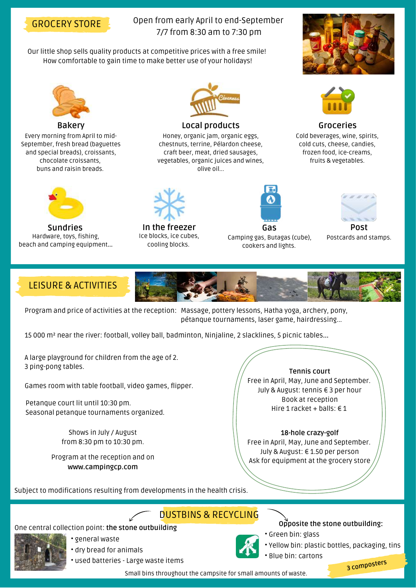

#### Open from early April to end-September 7/7 from 8:30 am to 7:30 pm

Our little shop sells quality products at competitive prices with a free smile! How comfortable to gain time to make better use of your holidays!



Every morning from April to mid-September, fresh bread (baguettes and special breads), croissants, chocolate croissants, buns and raisin breads.



**Sundries** Hardware, toys, fishing, beach and camping equipment…



#### **Local products**

Honey, organic jam, organic eggs, chestnuts, terrine, Pélardon cheese, craft beer, meat, dried sausages, vegetables, organic juices and wines, olive oil...



**In the freezer** Ice blocks, ice cubes, cooling blocks.



**Gas** Camping gas, Butagas (cube), cookers and lights.





**Groceries** Cold beverages, wine, spirits, cold cuts, cheese, candies, frozen food, ice-creams,

fruits & vegetables.

**Post** Postcards and stamps.

### LEISURE & ACTIVITIES

Program and price of activities at the reception: Massage, pottery lessons, Hatha yoga, archery, pony, pétanque tournaments, laser game, hairdressing...

15 000 m² near the river: football, volley ball, badminton, Ninjaline, 2 slacklines, 5 picnic tables…

A large playground for children from the age of 2. 3 ping-pong tables.

Games room with table football, video games, flipper.

Petanque court lit until 10:30 pm. Seasonal petanque tournaments organized.

> Shows in July / August from 8:30 pm to 10:30 pm.

Program at the reception and on **www.campingcp.com**



**Tennis Tennis court** Free in April, May, June and September. July & August: tennis € 3 per hour Book at reception Hire 1 racket + balls:  $\in$  1

**18-hole crazy-golf** Free in April, May, June and September. July & August: € 1.50 per person Ask for equipment at the grocery store

Subject to modifications resulting from developments in the health crisis.

## DUSTBINS & RECYCLING

#### One central collection point: **the stone outbuilding**



- general waste • dry bread for animals
- used batteries Large waste items



#### **Opposite the stone outbuilding:**

- Green bin: glass
- Yellow bin: plastic bottles, packaging, tins
- Blue bin: cartons

**<sup>3</sup> composters**

Small bins throughout the campsite for small amounts of waste.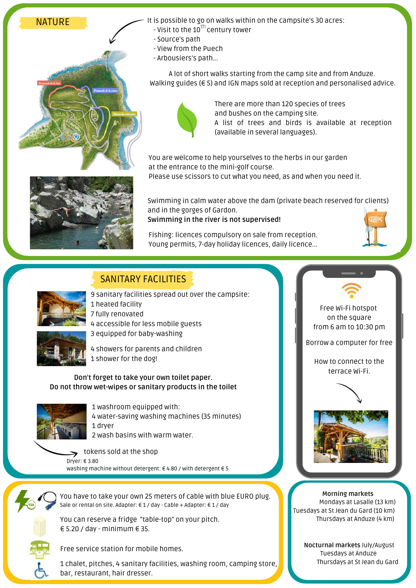



It is possible to go on walks within on the campsite's 30 acres:

- 
- Source's path
- View from the Puech
- Arbousiers's path...

A lot of short walks starting from the camp site and from Anduze. Walking guides (€ 5) and IGN maps sold at reception and personalised advice.



There are more than 120 species of trees and bushes on the camping site. A list of trees and birds is available at reception (available in several languages).

You are welcome to help yourselves to the herbs in our garden at the entrance to the mini-golf course. Please use scissors to cut what you need, as and when you need it.

Swimming in calm water above the dam (private beach reserved for clients) and in the gorges of Gardon. **Swimming in the river is not supervised!**

Fishing: licences compulsory on sale from reception. Young permits, 7-day holiday licences, daily licence...



# SANITARY FACILITIES



9 sanitary facilities spread out over the campsite: 1 heated facility 7 fully renovated 4 accessible for less mobile guests 3 equipped for baby-washing



4 showers for parents and children 1 shower for the dog!

**Don't forget to take your own toilet paper. Do not throw wet-wipes or sanitary products in the toilet**



 washroom equipped with: water-saving washing machines (35 minutes) 1 dryer wash basins with warm water.

tokens sold at the shop > Dryer: € 3.80 washing machine without detergent: € 4.80 / with detergent € 5



You have to take your own 25 meters of cable with blue EURO plug. Sale or rental on site. Adapter: € 1 / day - Cable + Adapter: € 1 / day



You can reserve a fridge "table-top" on your pitch. € 5.20 / day - minimum € 35.

Free service station for mobile homes.

1 chalet, pitches, 4 sanitary facilities, washing room, camping store, bar, restaurant, hair dresser.

Free Wi-Fi hotspot on the square from 6 am to 10:30 pm

Borrow a computer for free

How to connect to the terrace Wi-Fi.



**Morning markets** Mondays at Lasalle (13 km) Tuesdays at St Jean du Gard (10 km) Thursdays at Anduze (4 km)

> **Nocturnal markets** July/August Tuesdays at Anduze Thursdays at St Jean du Gard